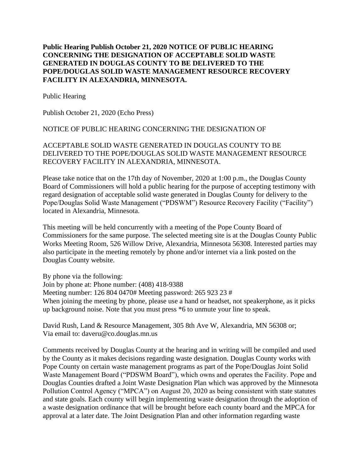## **Public Hearing Publish October 21, 2020 NOTICE OF PUBLIC HEARING CONCERNING THE DESIGNATION OF ACCEPTABLE SOLID WASTE GENERATED IN DOUGLAS COUNTY TO BE DELIVERED TO THE POPE/DOUGLAS SOLID WASTE MANAGEMENT RESOURCE RECOVERY FACILITY IN ALEXANDRIA, MINNESOTA.**

Public Hearing

Publish October 21, 2020 (Echo Press)

## NOTICE OF PUBLIC HEARING CONCERNING THE DESIGNATION OF

ACCEPTABLE SOLID WASTE GENERATED IN DOUGLAS COUNTY TO BE DELIVERED TO THE POPE/DOUGLAS SOLID WASTE MANAGEMENT RESOURCE RECOVERY FACILITY IN ALEXANDRIA, MINNESOTA.

Please take notice that on the 17th day of November, 2020 at 1:00 p.m., the Douglas County Board of Commissioners will hold a public hearing for the purpose of accepting testimony with regard designation of acceptable solid waste generated in Douglas County for delivery to the Pope/Douglas Solid Waste Management ("PDSWM") Resource Recovery Facility ("Facility") located in Alexandria, Minnesota.

This meeting will be held concurrently with a meeting of the Pope County Board of Commissioners for the same purpose. The selected meeting site is at the Douglas County Public Works Meeting Room, 526 Willow Drive, Alexandria, Minnesota 56308. Interested parties may also participate in the meeting remotely by phone and/or internet via a link posted on the Douglas County website.

By phone via the following: Join by phone at: Phone number: (408) 418-9388 Meeting number: 126 804 0470# Meeting password: 265 923 23 # When joining the meeting by phone, please use a hand or headset, not speakerphone, as it picks up background noise. Note that you must press \*6 to unmute your line to speak.

David Rush, Land & Resource Management, 305 8th Ave W, Alexandria, MN 56308 or; Via email to: daveru@co.douglas.mn.us

Comments received by Douglas County at the hearing and in writing will be compiled and used by the County as it makes decisions regarding waste designation. Douglas County works with Pope County on certain waste management programs as part of the Pope/Douglas Joint Solid Waste Management Board ("PDSWM Board"), which owns and operates the Facility. Pope and Douglas Counties drafted a Joint Waste Designation Plan which was approved by the Minnesota Pollution Control Agency ("MPCA") on August 20, 2020 as being consistent with state statutes and state goals. Each county will begin implementing waste designation through the adoption of a waste designation ordinance that will be brought before each county board and the MPCA for approval at a later date. The Joint Designation Plan and other information regarding waste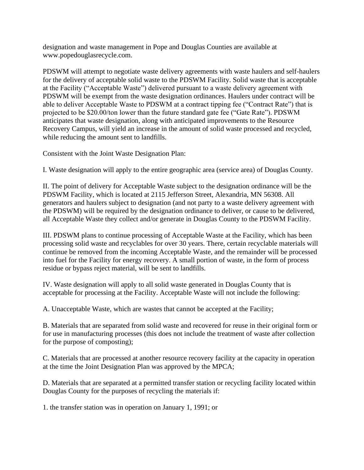designation and waste management in Pope and Douglas Counties are available at www.popedouglasrecycle.com.

PDSWM will attempt to negotiate waste delivery agreements with waste haulers and self-haulers for the delivery of acceptable solid waste to the PDSWM Facility. Solid waste that is acceptable at the Facility ("Acceptable Waste") delivered pursuant to a waste delivery agreement with PDSWM will be exempt from the waste designation ordinances. Haulers under contract will be able to deliver Acceptable Waste to PDSWM at a contract tipping fee ("Contract Rate") that is projected to be \$20.00/ton lower than the future standard gate fee ("Gate Rate"). PDSWM anticipates that waste designation, along with anticipated improvements to the Resource Recovery Campus, will yield an increase in the amount of solid waste processed and recycled, while reducing the amount sent to landfills.

Consistent with the Joint Waste Designation Plan:

I. Waste designation will apply to the entire geographic area (service area) of Douglas County.

II. The point of delivery for Acceptable Waste subject to the designation ordinance will be the PDSWM Facility, which is located at 2115 Jefferson Street, Alexandria, MN 56308. All generators and haulers subject to designation (and not party to a waste delivery agreement with the PDSWM) will be required by the designation ordinance to deliver, or cause to be delivered, all Acceptable Waste they collect and/or generate in Douglas County to the PDSWM Facility.

III. PDSWM plans to continue processing of Acceptable Waste at the Facility, which has been processing solid waste and recyclables for over 30 years. There, certain recyclable materials will continue be removed from the incoming Acceptable Waste, and the remainder will be processed into fuel for the Facility for energy recovery. A small portion of waste, in the form of process residue or bypass reject material, will be sent to landfills.

IV. Waste designation will apply to all solid waste generated in Douglas County that is acceptable for processing at the Facility. Acceptable Waste will not include the following:

A. Unacceptable Waste, which are wastes that cannot be accepted at the Facility;

B. Materials that are separated from solid waste and recovered for reuse in their original form or for use in manufacturing processes (this does not include the treatment of waste after collection for the purpose of composting);

C. Materials that are processed at another resource recovery facility at the capacity in operation at the time the Joint Designation Plan was approved by the MPCA;

D. Materials that are separated at a permitted transfer station or recycling facility located within Douglas County for the purposes of recycling the materials if:

1. the transfer station was in operation on January 1, 1991; or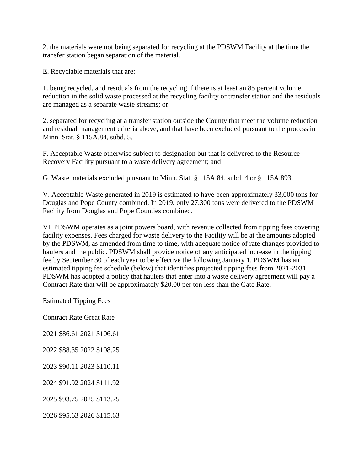2. the materials were not being separated for recycling at the PDSWM Facility at the time the transfer station began separation of the material.

E. Recyclable materials that are:

1. being recycled, and residuals from the recycling if there is at least an 85 percent volume reduction in the solid waste processed at the recycling facility or transfer station and the residuals are managed as a separate waste streams; or

2. separated for recycling at a transfer station outside the County that meet the volume reduction and residual management criteria above, and that have been excluded pursuant to the process in Minn. Stat. § 115A.84, subd. 5.

F. Acceptable Waste otherwise subject to designation but that is delivered to the Resource Recovery Facility pursuant to a waste delivery agreement; and

G. Waste materials excluded pursuant to Minn. Stat. § 115A.84, subd. 4 or § 115A.893.

V. Acceptable Waste generated in 2019 is estimated to have been approximately 33,000 tons for Douglas and Pope County combined. In 2019, only 27,300 tons were delivered to the PDSWM Facility from Douglas and Pope Counties combined.

VI. PDSWM operates as a joint powers board, with revenue collected from tipping fees covering facility expenses. Fees charged for waste delivery to the Facility will be at the amounts adopted by the PDSWM, as amended from time to time, with adequate notice of rate changes provided to haulers and the public. PDSWM shall provide notice of any anticipated increase in the tipping fee by September 30 of each year to be effective the following January 1. PDSWM has an estimated tipping fee schedule (below) that identifies projected tipping fees from 2021-2031. PDSWM has adopted a policy that haulers that enter into a waste delivery agreement will pay a Contract Rate that will be approximately \$20.00 per ton less than the Gate Rate.

Estimated Tipping Fees

Contract Rate Great Rate

2021 \$86.61 2021 \$106.61

2022 \$88.35 2022 \$108.25

2023 \$90.11 2023 \$110.11

2024 \$91.92 2024 \$111.92

2025 \$93.75 2025 \$113.75

2026 \$95.63 2026 \$115.63